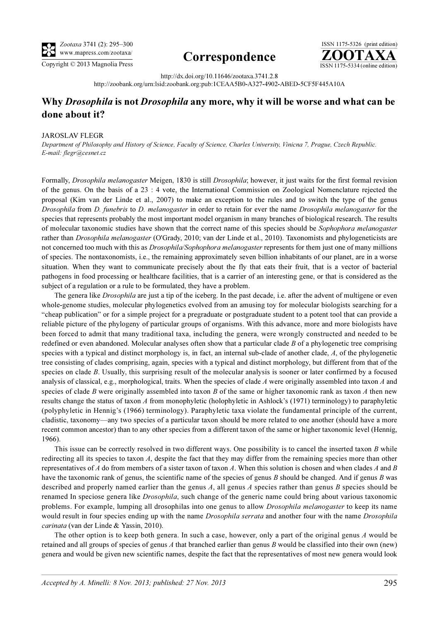Zootaxa 3741 (2): 295–300 www.mapress.com/zootaxa/

Correspondence



http://dx.doi.org/10.11646/zootaxa.3741.2.8

http://zoobank.org/urn:lsid:zoobank.org:pub:1CEAA5B0-A327-4902-ABED-5CF5F445A10A

# Why *Drosophila* is not *Drosophila* any more, why it will be worse and what can be done about it?

## JAROSLAV FLEGR

Department of Philosophy and History of Science, Faculty of Science, Charles University, Vinicna 7, Prague, Czech Republic. E-mail: flegr@cesnet.cz

Formally, Drosophila melanogaster Meigen, 1830 is still Drosophila; however, it just waits for the first formal revision of the genus. On the basis of a 23 : 4 vote, the International Commission on Zoological Nomenclature rejected the proposal (Kim van der Linde et al., 2007) to make an exception to the rules and to switch the type of the genus Drosophila from D. funebris to D. melanogaster in order to retain for ever the name Drosophila melanogaster for the species that represents probably the most important model organism in many branches of biological research. The results of molecular taxonomic studies have shown that the correct name of this species should be Sophophora melanogaster rather than Drosophila melanogaster (O'Grady, 2010; van der Linde et al., 2010). Taxonomists and phylogeneticists are not concerned too much with this as *Drosophila/Sophophora melanogaster* represents for them just one of many millions of species. The nontaxonomists, i.e., the remaining approximately seven billion inhabitants of our planet, are in a worse situation. When they want to communicate precisely about the fly that eats their fruit, that is a vector of bacterial pathogens in food processing or healthcare facilities, that is a carrier of an interesting gene, or that is considered as the subject of a regulation or a rule to be formulated, they have a problem.

The genera like *Drosophila* are just a tip of the iceberg. In the past decade, i.e. after the advent of multigene or even whole-genome studies, molecular phylogenetics evolved from an amusing toy for molecular biologists searching for a "cheap publication" or for a simple project for a pregraduate or postgraduate student to a potent tool that can provide a reliable picture of the phylogeny of particular groups of organisms. With this advance, more and more biologists have been forced to admit that many traditional taxa, including the genera, were wrongly constructed and needed to be redefined or even abandoned. Molecular analyses often show that a particular clade  $B$  of a phylogenetic tree comprising species with a typical and distinct morphology is, in fact, an internal sub-clade of another clade,  $A$ , of the phylogenetic tree consisting of clades comprising, again, species with a typical and distinct morphology, but different from that of the species on clade B. Usually, this surprising result of the molecular analysis is sooner or later confirmed by a focused analysis of classical, e.g., morphological, traits. When the species of clade A were originally assembled into taxon A and species of clade B were originally assembled into taxon B of the same or higher taxonomic rank as taxon A then new results change the status of taxon A from monophyletic (holophyletic in Ashlock's (1971) terminology) to paraphyletic (polyphyletic in Hennig's (1966) terminology). Paraphyletic taxa violate the fundamental principle of the current, cladistic, taxonomy—any two species of a particular taxon should be more related to one another (should have a more recent common ancestor) than to any other species from a different taxon of the same or higher taxonomic level (Hennig, 1966).

This issue can be correctly resolved in two different ways. One possibility is to cancel the inserted taxon B while redirecting all its species to taxon A, despite the fact that they may differ from the remaining species more than other representatives of A do from members of a sister taxon of taxon A. When this solution is chosen and when clades A and B have the taxonomic rank of genus, the scientific name of the species of genus B should be changed. And if genus B was described and properly named earlier than the genus A, all genus A species rather than genus B species should be renamed In speciose genera like Drosophila, such change of the generic name could bring about various taxonomic problems. For example, lumping all drosophilas into one genus to allow *Drosophila melanogaster* to keep its name would result in four species ending up with the name *Drosophila serrata* and another four with the name *Drosophila* carinata (van der Linde & Yassin, 2010).

The other option is to keep both genera. In such a case, however, only a part of the original genus A would be retained and all groups of species of genus  $A$  that branched earlier than genus  $B$  would be classified into their own (new) genera and would be given new scientific names, despite the fact that the representatives of most new genera would look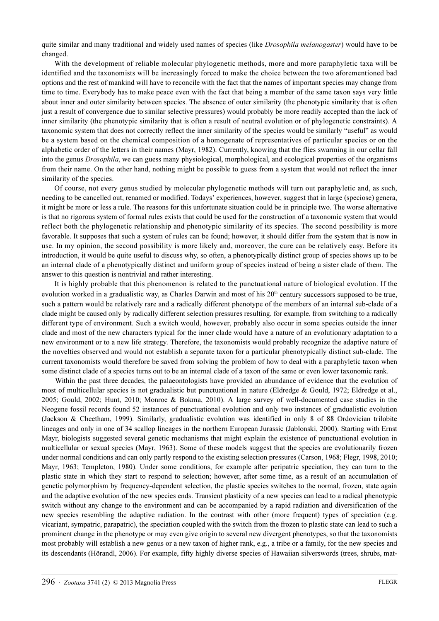quite similar and many traditional and widely used names of species (like *Drosophila melanogaster*) would have to be changed.

With the development of reliable molecular phylogenetic methods, more and more paraphyletic taxa will be identified and the taxonomists will be increasingly forced to make the choice between the two aforementioned bad options and the rest of mankind will have to reconcile with the fact that the names of important species may change from time to time. Everybody has to make peace even with the fact that being a member of the same taxon says very little about inner and outer similarity between species. The absence of outer similarity (the phenotypic similarity that is often just a result of convergence due to similar selective pressures) would probably be more readily accepted than the lack of inner similarity (the phenotypic similarity that is often a result of neutral evolution or of phylogenetic constraints). A taxonomic system that does not correctly reflect the inner similarity of the species would be similarly "useful" as would be a system based on the chemical composition of a homogenate of representatives of particular species or on the alphabetic order of the letters in their names (Mayr, 1982). Currently, knowing that the flies swarming in our cellar fall into the genus Drosophila, we can guess many physiological, morphological, and ecological properties of the organisms from their name. On the other hand, nothing might be possible to guess from a system that would not reflect the inner similarity of the species.

Of course, not every genus studied by molecular phylogenetic methods will turn out paraphyletic and, as such, needing to be cancelled out, renamed or modified. Todays' experiences, however, suggest that in large (speciose) genera, it might be more or less a rule. The reasons for this unfortunate situation could be in principle two. The worse alternative is that no rigorous system of formal rules exists that could be used for the construction of a taxonomic system that would reflect both the phylogenetic relationship and phenotypic similarity of its species. The second possibility is more favorable. It supposes that such a system of rules can be found; however, it should differ from the system that is now in use. In my opinion, the second possibility is more likely and, moreover, the cure can be relatively easy. Before its introduction, it would be quite useful to discuss why, so often, a phenotypically distinct group of species shows up to be an internal clade of a phenotypically distinct and uniform group of species instead of being a sister clade of them. The answer to this question is nontrivial and rather interesting.

It is highly probable that this phenomenon is related to the punctuational nature of biological evolution. If the evolution worked in a gradualistic way, as Charles Darwin and most of his  $20<sup>th</sup>$  century successors supposed to be true, such a pattern would be relatively rare and a radically different phenotype of the members of an internal sub-clade of a clade might be caused only by radically different selection pressures resulting, for example, from switching to a radically different type of environment. Such a switch would, however, probably also occur in some species outside the inner clade and most of the new characters typical for the inner clade would have a nature of an evolutionary adaptation to a new environment or to a new life strategy. Therefore, the taxonomists would probably recognize the adaptive nature of the novelties observed and would not establish a separate taxon for a particular phenotypically distinct sub-clade. The current taxonomists would therefore be saved from solving the problem of how to deal with a paraphyletic taxon when some distinct clade of a species turns out to be an internal clade of a taxon of the same or even lower taxonomic rank.

Within the past three decades, the palaeontologists have provided an abundance of evidence that the evolution of most of multicellular species is not gradualistic but punctuational in nature (Eldredge & Gould, 1972; Eldredge et al., 2005; Gould, 2002; Hunt, 2010; Monroe & Bokma, 2010). A large survey of well-documented case studies in the Neogene fossil records found 52 instances of punctuational evolution and only two instances of gradualistic evolution (Jackson & Cheetham, 1999). Similarly, gradualistic evolution was identified in only 8 of 88 Ordovician trilobite lineages and only in one of 34 scallop lineages in the northern European Jurassic (Jablonski, 2000). Starting with Ernst Mayr, biologists suggested several genetic mechanisms that might explain the existence of punctuational evolution in multicellular or sexual species (Mayr, 1963). Some of these models suggest that the species are evolutionarily frozen under normal conditions and can only partly respond to the existing selection pressures (Carson, 1968; Flegr, 1998, 2010; Mayr, 1963; Templeton, 1980). Under some conditions, for example after peripatric speciation, they can turn to the plastic state in which they start to respond to selection; however, after some time, as a result of an accumulation of genetic polymorphism by frequency-dependent selection, the plastic species switches to the normal, frozen, state again and the adaptive evolution of the new species ends. Transient plasticity of a new species can lead to a radical phenotypic switch without any change to the environment and can be accompanied by a rapid radiation and diversification of the new species resembling the adaptive radiation. In the contrast with other (more frequent) types of speciation (e.g. vicariant, sympatric, parapatric), the speciation coupled with the switch from the frozen to plastic state can lead to such a prominent change in the phenotype or may even give origin to several new divergent phenotypes, so that the taxonomists most probably will establish a new genus or a new taxon of higher rank, e.g., a tribe or a family, for the new species and its descendants (Hörandl, 2006). For example, fifty highly diverse species of Hawaiian silverswords (trees, shrubs, mat-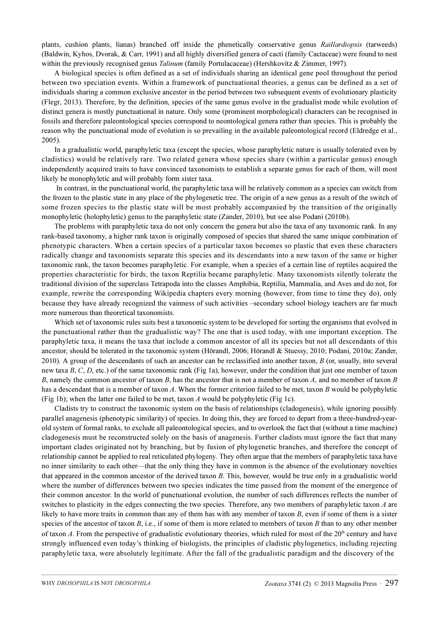plants, cushion plants, lianas) branched off inside the phenetically conservative genus Raillardiopsis (tarweeds) (Baldwin, Kyhos, Dvorak, & Carr, 1991) and all highly diversified genera of cacti (family Cactaceae) were found to nest within the previously recognised genus *Talinum* (family Portulacaceae) (Hershkovitz & Zimmer, 1997).

A biological species is often defined as a set of individuals sharing an identical gene pool throughout the period between two speciation events. Within a framework of punctuational theories, a genus can be defined as a set of individuals sharing a common exclusive ancestor in the period between two subsequent events of evolutionary plasticity (Flegr, 2013). Therefore, by the definition, species of the same genus evolve in the gradualist mode while evolution of distinct genera is mostly punctuational in nature. Only some (prominent morphological) characters can be recognised in fossils and therefore paleontological species correspond to neontological genera rather than species. This is probably the reason why the punctuational mode of evolution is so prevailing in the available paleontological record (Eldredge et al., 2005).

In a gradualistic world, paraphyletic taxa (except the species, whose paraphyletic nature is usually tolerated even by cladistics) would be relatively rare. Two related genera whose species share (within a particular genus) enough independently acquired traits to have convinced taxonomists to establish a separate genus for each of them, will most likely be monophyletic and will probably form sister taxa.

 In contrast, in the punctuational world, the paraphyletic taxa will be relatively common as a species can switch from the frozen to the plastic state in any place of the phylogenetic tree. The origin of a new genus as a result of the switch of some frozen species to the plastic state will be most probably accompanied by the transition of the originally monophyletic (holophyletic) genus to the paraphyletic state (Zander, 2010), but see also Podani (2010b).

The problems with paraphyletic taxa do not only concern the genera but also the taxa of any taxonomic rank. In any rank-based taxonomy, a higher rank taxon is originally composed of species that shared the same unique combination of phenotypic characters. When a certain species of a particular taxon becomes so plastic that even these characters radically change and taxonomists separate this species and its descendants into a new taxon of the same or higher taxonomic rank, the taxon becomes paraphyletic. For example, when a species of a certain line of reptiles acquired the properties characteristic for birds, the taxon Reptilia became paraphyletic. Many taxonomists silently tolerate the traditional division of the superclass Tetrapoda into the classes Amphibia, Reptilia, Mammalia, and Aves and do not, for example, rewrite the corresponding Wikipedia chapters every morning (however, from time to time they do), only because they have already recognized the vainness of such activities –secondary school biology teachers are far much more numerous than theoretical taxonomists.

Which set of taxonomic rules suits best a taxonomic system to be developed for sorting the organisms that evolved in the punctuational rather than the gradualistic way? The one that is used today, with one important exception. The paraphyletic taxa, it means the taxa that include a common ancestor of all its species but not all descendants of this ancestor, should be tolerated in the taxonomic system (Hörandl, 2006; Hörandl & Stuessy, 2010; Podani, 2010a; Zander, 2010). A group of the descendants of such an ancestor can be reclassified into another taxon, B (or, usually, into several new taxa B, C, D, etc.) of the same taxonomic rank (Fig 1a), however, under the condition that just one member of taxon B, namely the common ancestor of taxon B, has the ancestor that is not a member of taxon A, and no member of taxon B has a descendant that is a member of taxon A. When the former criterion failed to be met, taxon B would be polyphyletic (Fig 1b); when the latter one failed to be met, taxon  $A$  would be polyphyletic (Fig 1c).

Cladists try to construct the taxonomic system on the basis of relationships (cladogenesis), while ignoring possibly parallel anagenesis (phenotypic similarity) of species. In doing this, they are forced to depart from a three-hundred-yearold system of formal ranks, to exclude all paleontological species, and to overlook the fact that (without a time machine) cladogenesis must be reconstructed solely on the basis of anagenesis. Further cladists must ignore the fact that many important clades originated not by branching, but by fusion of phylogenetic branches, and therefore the concept of relationship cannot be applied to real reticulated phylogeny. They often argue that the members of paraphyletic taxa have no inner similarity to each other—that the only thing they have in common is the absence of the evolutionary novelties that appeared in the common ancestor of the derived taxon B. This, however, would be true only in a gradualistic world where the number of differences between two species indicates the time passed from the moment of the emergence of their common ancestor. In the world of punctuational evolution, the number of such differences reflects the number of switches to plasticity in the edges connecting the two species. Therefore, any two members of paraphyletic taxon A are likely to have more traits in common than any of them has with any member of taxon B, even if some of them is a sister species of the ancestor of taxon  $B$ , i.e., if some of them is more related to members of taxon  $B$  than to any other member of taxon A. From the perspective of gradualistic evolutionary theories, which ruled for most of the  $20<sup>th</sup>$  century and have strongly influenced even today's thinking of biologists, the principles of cladistic phylogenetics, including rejecting paraphyletic taxa, were absolutely legitimate. After the fall of the gradualistic paradigm and the discovery of the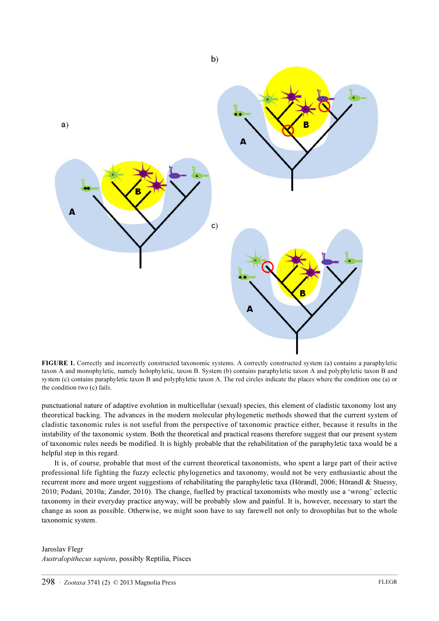**TERMS OF USE This pdf is provided by Magnolia Press for private/research use. Commercial sale or deposition in a public library or website is prohibited.**



FIGURE 1. Correctly and incorrectly constructed taxonomic systems. A correctly constructed system (a) contains a paraphyletic taxon A and monophyletic, namely holophyletic, taxon B. System (b) contains paraphyletic taxon A and polyphyletic taxon B and system (c) contains paraphyletic taxon B and polyphyletic taxon A. The red circles indicate the places where the condition one (a) or the condition two (c) fails.

punctuational nature of adaptive evolution in multicellular (sexual) species, this element of cladistic taxonomy lost any theoretical backing. The advances in the modern molecular phylogenetic methods showed that the current system of cladistic taxonomic rules is not useful from the perspective of taxonomic practice either, because it results in the instability of the taxonomic system. Both the theoretical and practical reasons therefore suggest that our present system of taxonomic rules needs be modified. It is highly probable that the rehabilitation of the paraphyletic taxa would be a helpful step in this regard.

It is, of course, probable that most of the current theoretical taxonomists, who spent a large part of their active professional life fighting the fuzzy eclectic phylogenetics and taxonomy, would not be very enthusiastic about the recurrent more and more urgent suggestions of rehabilitating the paraphyletic taxa (Hörandl, 2006; Hörandl & Stuessy, 2010; Podani, 2010a; Zander, 2010). The change, fuelled by practical taxonomists who mostly use a 'wrong' eclectic taxonomy in their everyday practice anyway, will be probably slow and painful. It is, however, necessary to start the change as soon as possible. Otherwise, we might soon have to say farewell not only to drosophilas but to the whole taxonomic system.

Jaroslav Flegr Australopithecus sapiens, possibly Reptilia, Pisces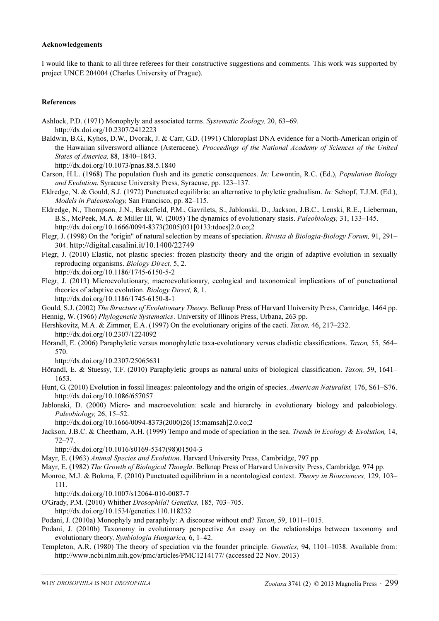### Acknowledgements

I would like to thank to all three referees for their constructive suggestions and comments. This work was supported by project UNCE 204004 (Charles University of Prague).

## References

Ashlock, P.D. (1971) Monophyly and associated terms. Systematic Zoology, [20, 63–69.](http://dx.doi.org/10.2307/2412223) [h](http://dx.doi.org/10.2307/2412223)ttp://dx.doi.org/10.2307/2412223

Baldwin, B.G., Kyhos, D.W., Dvorak, J. & Carr, G.D. (1991) Chloroplast DNA evidence for a North-American origin of the Hawaiian silversword alliance (Asteraceae). Proceedings of the National Academy of Sciences of the United States of America, [88, 1840–1843.](http://dx.doi.org/10.1073/pnas.88.5.1840)

[h](http://dx.doi.org/10.1073/pnas.88.5.1840)ttp://dx.doi.org/10.1073/pnas.88.5.1840

- Carson, H.L. (1968) The population flush and its genetic consequences. In: Lewontin, R.C. (Ed.), Population Biology and Evolution. Syracuse University Press, Syracuse, pp. 123–137.
- Eldredge, N. & Gould, S.J. (1972) Punctuated equilibria: an alternative to phyletic gradualism. In: Schopf, T.J.M. (Ed.), Models in Paleontology, San Francisco, pp. 82–115.
- Eldredge, N., Thompson, J.N., Brakefield, P.M., Gavrilets, S., Jablonski, D., Jackson, J.B.C., Lenski, R.E., Lieberman, B.S., McPeek, M.A. & Miller III, W. (2005) The dynamics of evolutionary stasis. Paleobiology, [31, 133–145.](http://dx.doi.org/10.1666/0094-8373%282005%29031%5b0133:tdoes%5d2.0.co;2) [http://dx.doi.org/10.1666/0094-8373\(2005\)031\[0133:tdoes\]2.0.co;2](http://dx.doi.org/10.1666/0094-8373(2005)031[0133:tdoes]2.0.co;2)
- Flegr, J. (1998) On the "origin" of natural selection by means of speciation. Rivista di Biologia-Biology Forum, 91, 291– 304. http://digital.casalini.it/10.1400/22749
- Flegr, J. (2010) Elastic, not plastic species: frozen plasticity theory and the origin of adaptive evolution in sexually reproducing organisms. Biology Direct, 5, 2. <http://dx.doi.org/10.1186/1745-6150-5-2>
- Flegr, J. (2013) Microevolutionary, macroevolutionary, ecological and taxonomical implications of of punctuational theories of adaptive evolution. *Biology Direct*, 8, 1.

<http://dx.doi.org/10.1186/1745-6150-8-1>

Gould, S.J. (2002) The Structure of Evolutionary Theory. Belknap Press of Harvard University Press, Camridge, 1464 pp. Hennig, W. (1966) Phylogenetic Systematics. University of Illinois Press, Urbana, 263 pp.

- Hershkovitz, M.A. & Zimmer, E.A. (1997) On the evolutionary origins of the cacti. Taxon, [46, 217–232.](http://dx.doi.org/10.2307/1224092) [h](http://dx.doi.org/10.2307/1224092)ttp://dx.doi.org/10.2307/1224092
- Hörandl, E. (2006) Paraphyletic versus monophyletic taxa-evolutionary versus cladistic classifications. Taxon, [55, 564–](http://dx.doi.org/10.2307/25065631) [570.](http://dx.doi.org/10.2307/25065631)

[h](http://dx.doi.org/10.2307/25065631)ttp://dx.doi.org/10.2307/25065631

- Hörandl, E. & Stuessy, T.F. (2010) Paraphyletic groups as natural units of biological classification. Taxon, 59, 1641– 1653.
- Hunt, G. (2010) Evolution in fossil lineages: paleontology and the origin of species. American Naturalist, [176, S61–S76.](http://dx.doi.org/10.1086/657057) [h](http://dx.doi.org/10.1086/657057)ttp://dx.doi.org/10.1086/657057
- Jablonski, D. (2000) Micro- and macroevolution: scale and hierarchy in evolutionary biology and paleobiology. Paleobiology, [26, 15–52.](http://dx.doi.org/10.1666/0094-8373%282000%2926%5b15:mamsah%5d2.0.co;2)

[http://dx.doi.org/10.1666/0094-8373\(2000\)26\[15:mamsah\]2.0.co;2](http://dx.doi.org/10.1666/0094-8373(2000)26[15:mamsah]2.0.co;2)

Jackson, J.B.C. & Cheetham, A.H. (1999) Tempo and mode of speciation in the sea. Trends in Ecology & Evolution, [14,](http://dx.doi.org/10.1016/s0169-5347%2898%2901504-3) [72–77.](http://dx.doi.org/10.1016/s0169-5347%2898%2901504-3)

[http://dx.doi.org/10.1016/s0169-5347\(98\)01504-3](http://dx.doi.org/10.1016/s0169-5347(98)01504-3)

Mayr, E. (1963) Animal Species and Evolution. Harvard University Press, Cambridge, 797 pp.

- Mayr, E. (1982) The Growth of Biological Thought. Belknap Press of Harvard University Press, Cambridge, 974 pp.
- Monroe, M.J. & Bokma, F. (2010) Punctuated equilibrium in a neontological context. Theory in Biosciences, [129, 103–](http://dx.doi.org/10.1007/s12064-010-0087-7) [111.](http://dx.doi.org/10.1007/s12064-010-0087-7)

[h](http://dx.doi.org/10.1007/s12064-010-0087-7)ttp://dx.doi.org/10.1007/s12064-010-0087-7

O'Grady, P.M. (2010) Whither Drosophila? Genetics, [185, 703–705.](http://dx.doi.org/10.1534/genetics.110.118232)

[h](http://dx.doi.org/10.1534/genetics.110.118232)ttp://dx.doi.org/10.1534/genetics.110.118232

- Podani, J. (2010a) Monophyly and paraphyly: A discourse without end? Taxon, 59, 1011–1015.
- Podani, J. (2010b) Taxonomy in evolutionary perspective An essay on the relationships between taxonomy and evolutionary theory. Synbiologia Hungarica, 6, 1–42.
- Templeton, A.R. (1980) The theory of speciation via the founder principle. *Genetics*, 94, 1101–1038. Available from: [http://www.ncbi.nlm.nih.gov/pmc/articles/PMC1214177/ \(accessed 22 Nov. 2013\)](http://www.ncbi.nlm.nih.gov/pmc/articles/PMC1214177/)